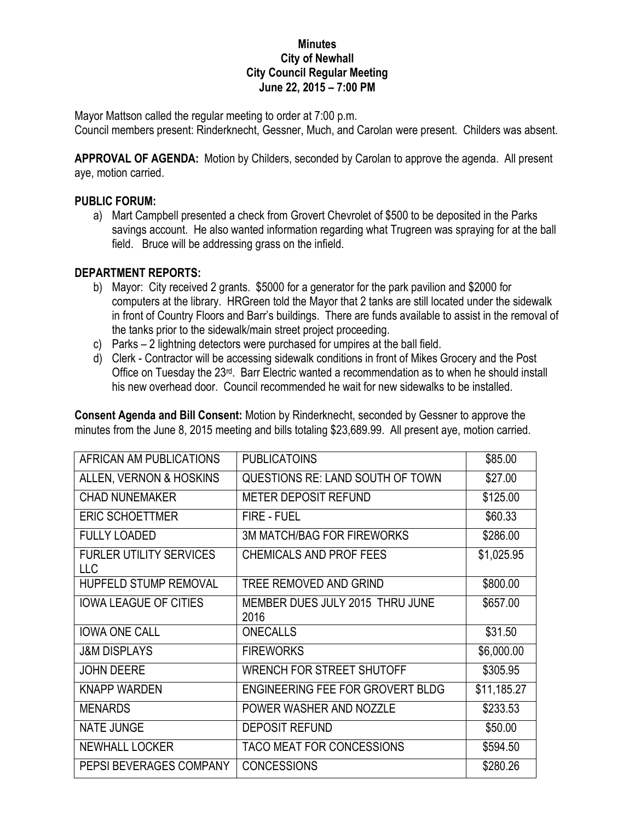## **Minutes City of Newhall City Council Regular Meeting June 22, 2015 – 7:00 PM**

Mayor Mattson called the regular meeting to order at 7:00 p.m. Council members present: Rinderknecht, Gessner, Much, and Carolan were present. Childers was absent.

**APPROVAL OF AGENDA:** Motion by Childers, seconded by Carolan to approve the agenda. All present aye, motion carried.

## **PUBLIC FORUM:**

a) Mart Campbell presented a check from Grovert Chevrolet of \$500 to be deposited in the Parks savings account. He also wanted information regarding what Trugreen was spraying for at the ball field. Bruce will be addressing grass on the infield.

## **DEPARTMENT REPORTS:**

- b) Mayor: City received 2 grants. \$5000 for a generator for the park pavilion and \$2000 for computers at the library. HRGreen told the Mayor that 2 tanks are still located under the sidewalk in front of Country Floors and Barr's buildings. There are funds available to assist in the removal of the tanks prior to the sidewalk/main street project proceeding.
- c) Parks 2 lightning detectors were purchased for umpires at the ball field.
- d) Clerk Contractor will be accessing sidewalk conditions in front of Mikes Grocery and the Post Office on Tuesday the 23<sup>rd</sup>. Barr Electric wanted a recommendation as to when he should install his new overhead door. Council recommended he wait for new sidewalks to be installed.

**Consent Agenda and Bill Consent:** Motion by Rinderknecht, seconded by Gessner to approve the minutes from the June 8, 2015 meeting and bills totaling \$23,689.99. All present aye, motion carried.

| AFRICAN AM PUBLICATIONS               | <b>PUBLICATOINS</b>                     | \$85.00     |
|---------------------------------------|-----------------------------------------|-------------|
| ALLEN, VERNON & HOSKINS               | QUESTIONS RE: LAND SOUTH OF TOWN        | \$27.00     |
| <b>CHAD NUNEMAKER</b>                 | <b>METER DEPOSIT REFUND</b>             | \$125.00    |
| <b>ERIC SCHOETTMER</b>                | <b>FIRE - FUEL</b>                      | \$60.33     |
| <b>FULLY LOADED</b>                   | <b>3M MATCH/BAG FOR FIREWORKS</b>       | \$286.00    |
| <b>FURLER UTILITY SERVICES</b><br>LLC | <b>CHEMICALS AND PROF FEES</b>          | \$1,025.95  |
| <b>HUPFELD STUMP REMOVAL</b>          | TREE REMOVED AND GRIND                  | \$800.00    |
| <b>IOWA LEAGUE OF CITIES</b>          | MEMBER DUES JULY 2015 THRU JUNE<br>2016 | \$657.00    |
| <b>IOWA ONE CALL</b>                  | <b>ONECALLS</b>                         | \$31.50     |
| <b>J&amp;M DISPLAYS</b>               | <b>FIREWORKS</b>                        | \$6,000.00  |
| <b>JOHN DEERE</b>                     | WRENCH FOR STREET SHUTOFF               | \$305.95    |
| <b>KNAPP WARDEN</b>                   | ENGINEERING FEE FOR GROVERT BLDG        | \$11,185.27 |
| <b>MENARDS</b>                        | POWER WASHER AND NOZZLE                 | \$233.53    |
| <b>NATE JUNGE</b>                     | <b>DEPOSIT REFUND</b>                   | \$50.00     |
| <b>NEWHALL LOCKER</b>                 | TACO MEAT FOR CONCESSIONS               | \$594.50    |
| PEPSI BEVERAGES COMPANY               | <b>CONCESSIONS</b>                      | \$280.26    |